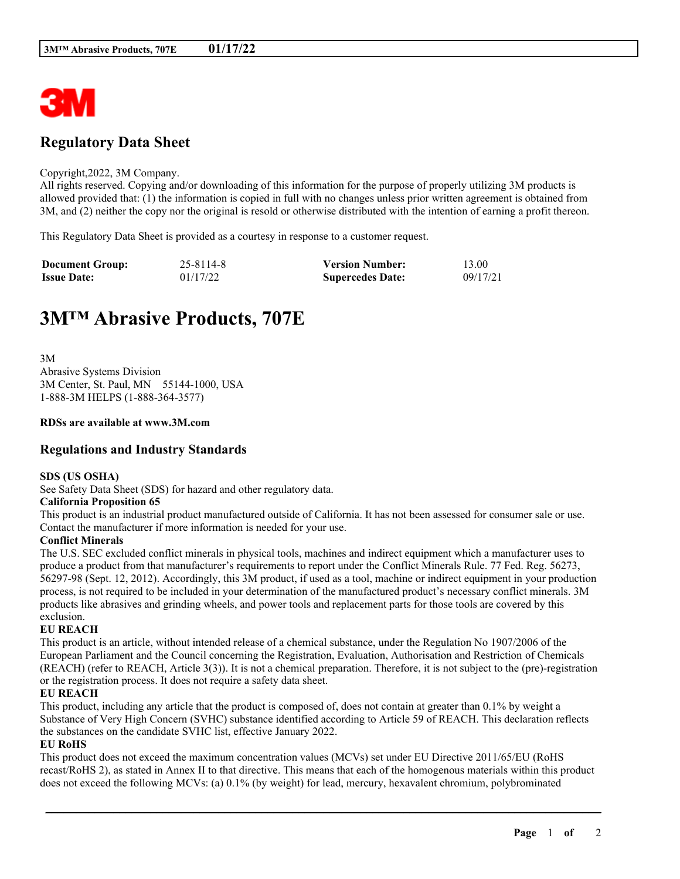

## **Regulatory Data Sheet**

#### Copyright,2022, 3M Company.

All rights reserved. Copying and/or downloading of this information for the purpose of properly utilizing 3M products is allowed provided that: (1) the information is copied in full with no changes unless prior written agreement is obtained from 3M, and (2) neither the copy nor the original is resold or otherwise distributed with the intention of earning a profit thereon.

This Regulatory Data Sheet is provided as a courtesy in response to a customer request.

| <b>Document Group:</b> | 25-8114-8 | <b>Version Number:</b>  | 13.00    |
|------------------------|-----------|-------------------------|----------|
| <b>Issue Date:</b>     | 01/17/22  | <b>Supercedes Date:</b> | 09/17/21 |

# **3M™ Abrasive Products, 707E**

3M Abrasive Systems Division 3M Center, St. Paul, MN 55144-1000, USA 1-888-3M HELPS (1-888-364-3577)

#### **RDSs are available at www.3M.com**

### **Regulations and Industry Standards**

#### **SDS (US OSHA)**

See Safety Data Sheet (SDS) for hazard and other regulatory data.

#### **California Proposition 65**

This product is an industrial product manufactured outside of California. It has not been assessed for consumer sale or use. Contact the manufacturer if more information is needed for your use.

#### **Conflict Minerals**

The U.S. SEC excluded conflict minerals in physical tools, machines and indirect equipment which a manufacturer uses to produce a product from that manufacturer's requirements to report under the Conflict Minerals Rule. 77 Fed. Reg. 56273, 56297-98 (Sept. 12, 2012). Accordingly, this 3M product, if used as a tool, machine or indirect equipment in your production process, is not required to be included in your determination of the manufactured product's necessary conflict minerals. 3M products like abrasives and grinding wheels, and power tools and replacement parts for those tools are covered by this exclusion.

#### **EU REACH**

This product is an article, without intended release of a chemical substance, under the Regulation No 1907/2006 of the European Parliament and the Council concerning the Registration, Evaluation, Authorisation and Restriction of Chemicals (REACH) (refer to REACH, Article 3(3)). It is not a chemical preparation. Therefore, it is not subject to the (pre)-registration or the registration process. It does not require a safety data sheet.

#### **EU REACH**

This product, including any article that the product is composed of, does not contain at greater than 0.1% by weight a Substance of Very High Concern (SVHC) substance identified according to Article 59 of REACH. This declaration reflects the substances on the candidate SVHC list, effective January 2022.

#### **EU RoHS**

This product does not exceed the maximum concentration values (MCVs) set under EU Directive 2011/65/EU (RoHS recast/RoHS 2), as stated in Annex II to that directive. This means that each of the homogenous materials within this product does not exceed the following MCVs: (a) 0.1% (by weight) for lead, mercury, hexavalent chromium, polybrominated

\_\_\_\_\_\_\_\_\_\_\_\_\_\_\_\_\_\_\_\_\_\_\_\_\_\_\_\_\_\_\_\_\_\_\_\_\_\_\_\_\_\_\_\_\_\_\_\_\_\_\_\_\_\_\_\_\_\_\_\_\_\_\_\_\_\_\_\_\_\_\_\_\_\_\_\_\_\_\_\_\_\_\_\_\_\_\_\_\_\_